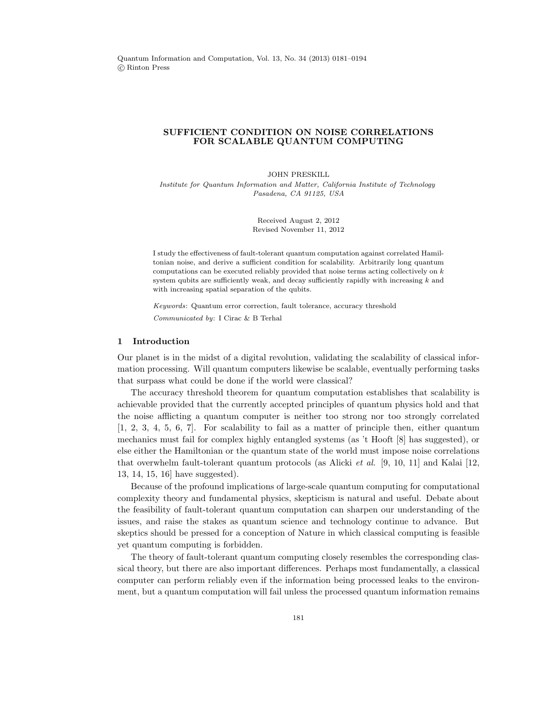# SUFFICIENT CONDITION ON NOISE CORRELATIONS FOR SCALABLE QUANTUM COMPUTING

JOHN PRESKILL

Institute for Quantum Information and Matter, California Institute of Technology Pasadena, CA 91125, USA

> Received August 2, 2012 Revised November 11, 2012

I study the effectiveness of fault-tolerant quantum computation against correlated Hamiltonian noise, and derive a sufficient condition for scalability. Arbitrarily long quantum computations can be executed reliably provided that noise terms acting collectively on  $k$ system qubits are sufficiently weak, and decay sufficiently rapidly with increasing  $k$  and with increasing spatial separation of the qubits.

Keywords: Quantum error correction, fault tolerance, accuracy threshold Communicated by: I Cirac & B Terhal

## 1 Introduction

Our planet is in the midst of a digital revolution, validating the scalability of classical information processing. Will quantum computers likewise be scalable, eventually performing tasks that surpass what could be done if the world were classical?

The accuracy threshold theorem for quantum computation establishes that scalability is achievable provided that the currently accepted principles of quantum physics hold and that the noise afflicting a quantum computer is neither too strong nor too strongly correlated [1, 2, 3, 4, 5, 6, 7]. For scalability to fail as a matter of principle then, either quantum mechanics must fail for complex highly entangled systems (as 't Hooft [8] has suggested), or else either the Hamiltonian or the quantum state of the world must impose noise correlations that overwhelm fault-tolerant quantum protocols (as Alicki *et al.* [9, 10, 11] and Kalai [12, 13, 14, 15, 16] have suggested).

Because of the profound implications of large-scale quantum computing for computational complexity theory and fundamental physics, skepticism is natural and useful. Debate about the feasibility of fault-tolerant quantum computation can sharpen our understanding of the issues, and raise the stakes as quantum science and technology continue to advance. But skeptics should be pressed for a conception of Nature in which classical computing is feasible yet quantum computing is forbidden.

The theory of fault-tolerant quantum computing closely resembles the corresponding classical theory, but there are also important differences. Perhaps most fundamentally, a classical computer can perform reliably even if the information being processed leaks to the environment, but a quantum computation will fail unless the processed quantum information remains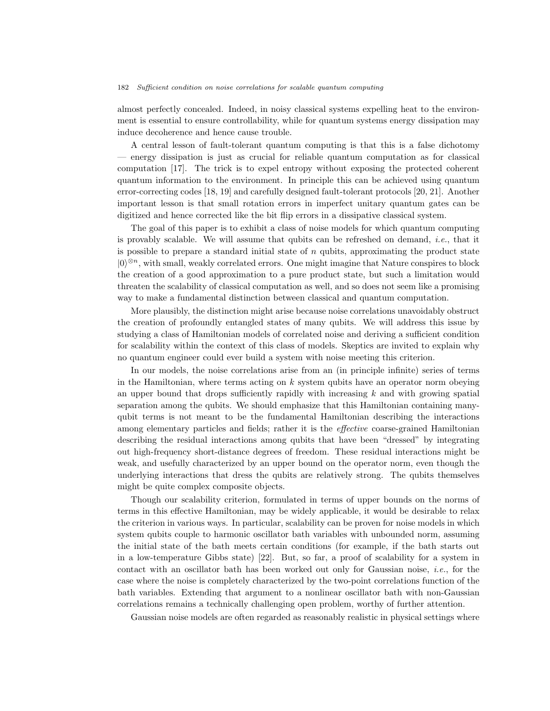almost perfectly concealed. Indeed, in noisy classical systems expelling heat to the environment is essential to ensure controllability, while for quantum systems energy dissipation may induce decoherence and hence cause trouble.

A central lesson of fault-tolerant quantum computing is that this is a false dichotomy — energy dissipation is just as crucial for reliable quantum computation as for classical computation [17]. The trick is to expel entropy without exposing the protected coherent quantum information to the environment. In principle this can be achieved using quantum error-correcting codes [18, 19] and carefully designed fault-tolerant protocols [20, 21]. Another important lesson is that small rotation errors in imperfect unitary quantum gates can be digitized and hence corrected like the bit flip errors in a dissipative classical system.

The goal of this paper is to exhibit a class of noise models for which quantum computing is provably scalable. We will assume that qubits can be refreshed on demand, *i.e.*, that it is possible to prepare a standard initial state of  $n$  qubits, approximating the product state  $|0\rangle^{\otimes n}$ , with small, weakly correlated errors. One might imagine that Nature conspires to block the creation of a good approximation to a pure product state, but such a limitation would threaten the scalability of classical computation as well, and so does not seem like a promising way to make a fundamental distinction between classical and quantum computation.

More plausibly, the distinction might arise because noise correlations unavoidably obstruct the creation of profoundly entangled states of many qubits. We will address this issue by studying a class of Hamiltonian models of correlated noise and deriving a sufficient condition for scalability within the context of this class of models. Skeptics are invited to explain why no quantum engineer could ever build a system with noise meeting this criterion.

In our models, the noise correlations arise from an (in principle infinite) series of terms in the Hamiltonian, where terms acting on  $k$  system qubits have an operator norm obeying an upper bound that drops sufficiently rapidly with increasing  $k$  and with growing spatial separation among the qubits. We should emphasize that this Hamiltonian containing manyqubit terms is not meant to be the fundamental Hamiltonian describing the interactions among elementary particles and fields; rather it is the *effective* coarse-grained Hamiltonian describing the residual interactions among qubits that have been "dressed" by integrating out high-frequency short-distance degrees of freedom. These residual interactions might be weak, and usefully characterized by an upper bound on the operator norm, even though the underlying interactions that dress the qubits are relatively strong. The qubits themselves might be quite complex composite objects.

Though our scalability criterion, formulated in terms of upper bounds on the norms of terms in this effective Hamiltonian, may be widely applicable, it would be desirable to relax the criterion in various ways. In particular, scalability can be proven for noise models in which system qubits couple to harmonic oscillator bath variables with unbounded norm, assuming the initial state of the bath meets certain conditions (for example, if the bath starts out in a low-temperature Gibbs state) [22]. But, so far, a proof of scalability for a system in contact with an oscillator bath has been worked out only for Gaussian noise, *i.e.*, for the case where the noise is completely characterized by the two-point correlations function of the bath variables. Extending that argument to a nonlinear oscillator bath with non-Gaussian correlations remains a technically challenging open problem, worthy of further attention.

Gaussian noise models are often regarded as reasonably realistic in physical settings where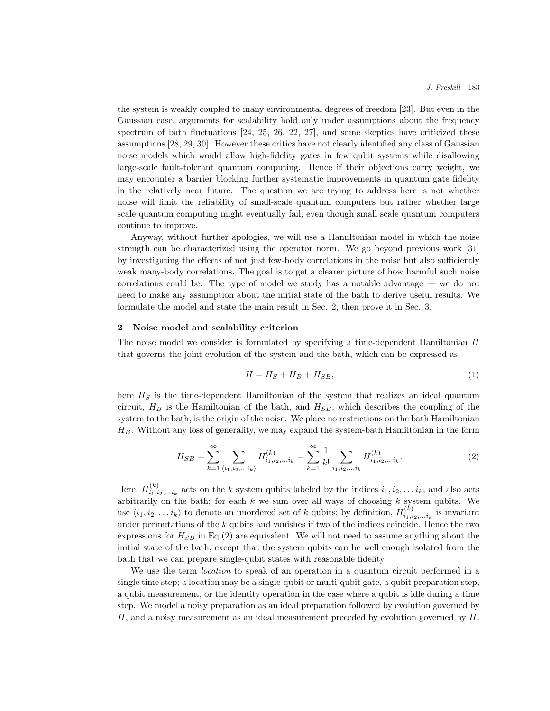the system is weakly coupled to many environmental degrees of freedom [23]. But even in the Gaussian case, arguments for scalability hold only under assumptions about the frequency spectrum of bath fluctuations [24, 25, 26, 22, 27], and some skeptics have criticized these assumptions [28, 29, 30]. However these critics have not clearly identified any class of Gaussian noise models which would allow high-fidelity gates in few qubit systems while disallowing large-scale fault-tolerant quantum computing. Hence if their objections carry weight, we may encounter a barrier blocking further systematic improvements in quantum gate fidelity in the relatively near future. The question we are trying to address here is not whether noise will limit the reliability of small-scale quantum computers but rather whether large scale quantum computing might eventually fail, even though small scale quantum computers continue to improve.

Anyway, without further apologies, we will use a Hamiltonian model in which the noise strength can be characterized using the operator norm. We go beyond previous work [31] by investigating the effects of not just few-body correlations in the noise but also sufficiently weak many-body correlations. The goal is to get a clearer picture of how harmful such noise correlations could be. The type of model we study has a notable advantage — we do not need to make any assumption about the initial state of the bath to derive useful results. We formulate the model and state the main result in Sec. 2, then prove it in Sec. 3.

#### 2 Noise model and scalability criterion

The noise model we consider is formulated by specifying a time-dependent Hamiltonian H that governs the joint evolution of the system and the bath, which can be expressed as

$$
H = H_S + H_B + H_{SB};\t\t(1)
$$

here  $H<sub>S</sub>$  is the time-dependent Hamiltonian of the system that realizes an ideal quantum circuit,  $H_B$  is the Hamiltonian of the bath, and  $H_{SB}$ , which describes the coupling of the system to the bath, is the origin of the noise. We place no restrictions on the bath Hamiltonian  $H_B$ . Without any loss of generality, we may expand the system-bath Hamiltonian in the form

$$
H_{SB} = \sum_{k=1}^{\infty} \sum_{\langle i_1, i_2, \dots i_k \rangle} H_{i_1, i_2, \dots i_k}^{(k)} = \sum_{k=1}^{\infty} \frac{1}{k!} \sum_{i_1, i_2, \dots i_k} H_{i_1, i_2, \dots i_k}^{(k)}.
$$
 (2)

Here,  $H_{i_1,i_2,...i_k}^{(k)}$  acts on the k system qubits labeled by the indices  $i_1,i_2,...i_k$ , and also acts arbitrarily on the bath; for each  $k$  we sum over all ways of choosing  $k$  system qubits. We use  $\langle i_1, i_2, \ldots i_k \rangle$  to denote an unordered set of k qubits; by definition,  $H_{i_1, i_2, \ldots i_k}^{(k)}$  is invariant under permutations of the  $k$  qubits and vanishes if two of the indices coincide. Hence the two expressions for  $H_{SB}$  in Eq.(2) are equivalent. We will not need to assume anything about the initial state of the bath, except that the system qubits can be well enough isolated from the bath that we can prepare single-qubit states with reasonable fidelity.

We use the term *location* to speak of an operation in a quantum circuit performed in a single time step; a location may be a single-qubit or multi-qubit gate, a qubit preparation step, a qubit measurement, or the identity operation in the case where a qubit is idle during a time step. We model a noisy preparation as an ideal preparation followed by evolution governed by  $H$ , and a noisy measurement as an ideal measurement preceded by evolution governed by  $H$ .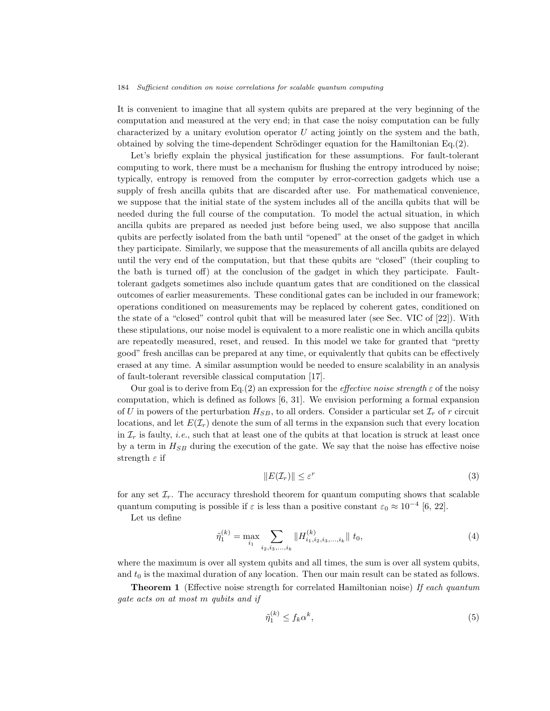It is convenient to imagine that all system qubits are prepared at the very beginning of the computation and measured at the very end; in that case the noisy computation can be fully characterized by a unitary evolution operator  $U$  acting jointly on the system and the bath, obtained by solving the time-dependent Schrödinger equation for the Hamiltonian  $Eq.(2)$ .

Let's briefly explain the physical justification for these assumptions. For fault-tolerant computing to work, there must be a mechanism for flushing the entropy introduced by noise; typically, entropy is removed from the computer by error-correction gadgets which use a supply of fresh ancilla qubits that are discarded after use. For mathematical convenience, we suppose that the initial state of the system includes all of the ancilla qubits that will be needed during the full course of the computation. To model the actual situation, in which ancilla qubits are prepared as needed just before being used, we also suppose that ancilla qubits are perfectly isolated from the bath until "opened" at the onset of the gadget in which they participate. Similarly, we suppose that the measurements of all ancilla qubits are delayed until the very end of the computation, but that these qubits are "closed" (their coupling to the bath is turned off) at the conclusion of the gadget in which they participate. Faulttolerant gadgets sometimes also include quantum gates that are conditioned on the classical outcomes of earlier measurements. These conditional gates can be included in our framework; operations conditioned on measurements may be replaced by coherent gates, conditioned on the state of a "closed" control qubit that will be measured later (see Sec. VIC of [22]). With these stipulations, our noise model is equivalent to a more realistic one in which ancilla qubits are repeatedly measured, reset, and reused. In this model we take for granted that "pretty good" fresh ancillas can be prepared at any time, or equivalently that qubits can be effectively erased at any time. A similar assumption would be needed to ensure scalability in an analysis of fault-tolerant reversible classical computation [17].

Our goal is to derive from Eq.(2) an expression for the *effective noise strength*  $\varepsilon$  of the noisy computation, which is defined as follows [6, 31]. We envision performing a formal expansion of U in powers of the perturbation  $H_{SB}$ , to all orders. Consider a particular set  $\mathcal{I}_r$  of r circuit locations, and let  $E(\mathcal{I}_r)$  denote the sum of all terms in the expansion such that every location in  $\mathcal{I}_r$  is faulty, *i.e.*, such that at least one of the qubits at that location is struck at least once by a term in  $H_{SB}$  during the execution of the gate. We say that the noise has effective noise strength  $\varepsilon$  if

$$
||E(\mathcal{I}_r)|| \le \varepsilon^r \tag{3}
$$

for any set  $\mathcal{I}_r$ . The accuracy threshold theorem for quantum computing shows that scalable quantum computing is possible if  $\varepsilon$  is less than a positive constant  $\varepsilon_0 \approx 10^{-4}$  [6, 22].

Let us define

$$
\tilde{\eta}_1^{(k)} = \max_{i_1} \sum_{i_2, i_3, \dots, i_k} \| H_{i_1, i_2, i_3, \dots, i_k}^{(k)} \| t_0,
$$
\n<sup>(4)</sup>

where the maximum is over all system qubits and all times, the sum is over all system qubits, and  $t_0$  is the maximal duration of any location. Then our main result can be stated as follows.

**Theorem 1** (Effective noise strength for correlated Hamiltonian noise) If each quantum gate acts on at most m qubits and if

$$
\tilde{\eta}_1^{(k)} \le f_k \alpha^k,\tag{5}
$$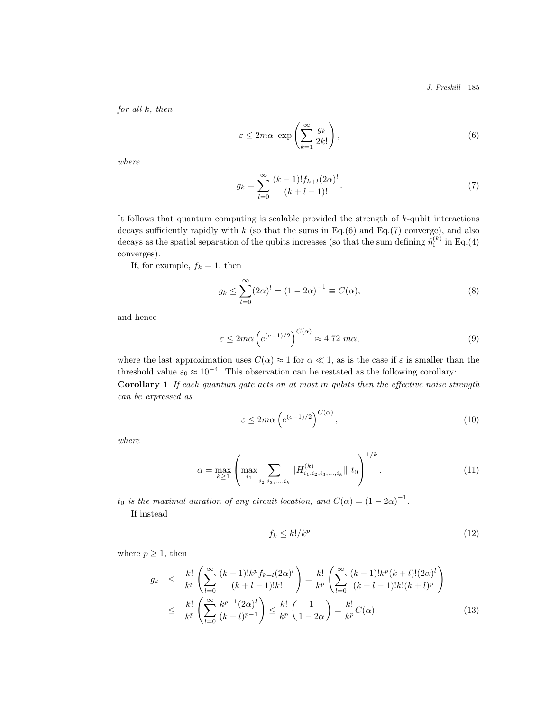J. Preskill 185

for all  $k$ , then

$$
\varepsilon \le 2m\alpha \exp\left(\sum_{k=1}^{\infty} \frac{g_k}{2k!}\right),\tag{6}
$$

where

$$
g_k = \sum_{l=0}^{\infty} \frac{(k-1)! f_{k+l} (2\alpha)^l}{(k+l-1)!}.
$$
 (7)

It follows that quantum computing is scalable provided the strength of k-qubit interactions decays sufficiently rapidly with  $k$  (so that the sums in Eq.(6) and Eq.(7) converge), and also decays as the spatial separation of the qubits increases (so that the sum defining  $\tilde{\eta}_1^{(k)}$  in Eq.(4) converges).

If, for example,  $f_k = 1$ , then

$$
g_k \le \sum_{l=0}^{\infty} (2\alpha)^l = (1 - 2\alpha)^{-1} \equiv C(\alpha),
$$
 (8)

and hence

$$
\varepsilon \le 2m\alpha \left(e^{(e-1)/2}\right)^{C(\alpha)} \approx 4.72 \text{ } m\alpha,\tag{9}
$$

where the last approximation uses  $C(\alpha) \approx 1$  for  $\alpha \ll 1$ , as is the case if  $\varepsilon$  is smaller than the threshold value  $\varepsilon_0 \approx 10^{-4}$ . This observation can be restated as the following corollary: Corollary 1 If each quantum gate acts on at most m qubits then the effective noise strength

$$
\varepsilon \le 2m\alpha \left( e^{(e-1)/2} \right)^{C(\alpha)},\tag{10}
$$

where

$$
\alpha = \max_{k \ge 1} \left( \max_{i_1} \sum_{i_2, i_3, \dots, i_k} \| H_{i_1, i_2, i_3, \dots, i_k}^{(k)} \| t_0 \right)^{1/k}, \tag{11}
$$

 $t_0$  is the maximal duration of any circuit location, and  $C(\alpha) = (1 - 2\alpha)^{-1}$ .

If instead

can be expressed as

$$
f_k \le k!/k^p \tag{12}
$$

where  $p \geq 1$ , then

$$
g_k \leq \frac{k!}{k^p} \left( \sum_{l=0}^{\infty} \frac{(k-1)! k^p f_{k+l} (2\alpha)^l}{(k+l-1)! k!} \right) = \frac{k!}{k^p} \left( \sum_{l=0}^{\infty} \frac{(k-1)! k^p (k+l)! (2\alpha)^l}{(k+l-1)! k! (k+l)^p} \right)
$$
  

$$
\leq \frac{k!}{k^p} \left( \sum_{l=0}^{\infty} \frac{k^{p-1} (2\alpha)^l}{(k+l)^{p-1}} \right) \leq \frac{k!}{k^p} \left( \frac{1}{1-2\alpha} \right) = \frac{k!}{k^p} C(\alpha).
$$
 (13)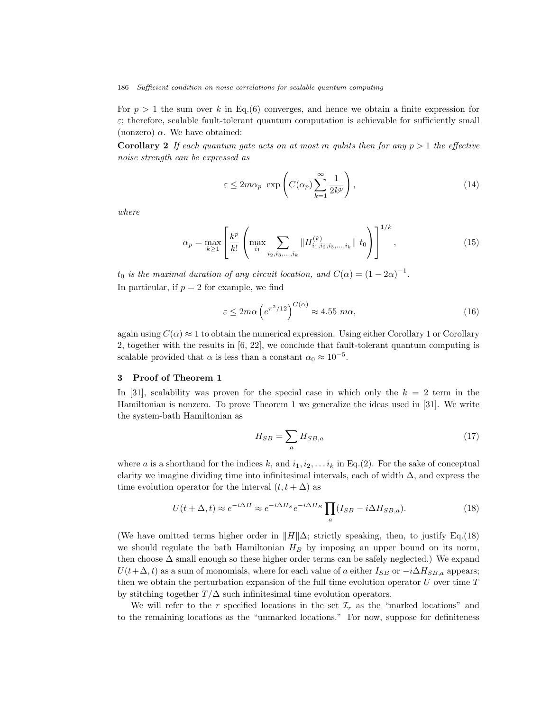For  $p > 1$  the sum over k in Eq.(6) converges, and hence we obtain a finite expression for  $\varepsilon$ ; therefore, scalable fault-tolerant quantum computation is achievable for sufficiently small (nonzero)  $\alpha$ . We have obtained:

**Corollary 2** If each quantum gate acts on at most m qubits then for any  $p > 1$  the effective noise strength can be expressed as

$$
\varepsilon \le 2m\alpha_p \exp\left(C(\alpha_p)\sum_{k=1}^{\infty}\frac{1}{2k^p}\right),\tag{14}
$$

where

$$
\alpha_p = \max_{k \ge 1} \left[ \frac{k^p}{k!} \left( \max_{i_1} \sum_{i_2, i_3, \dots, i_k} \| H_{i_1, i_2, i_3, \dots, i_k}^{(k)} \| t_0 \right) \right]^{1/k}, \tag{15}
$$

 $t_0$  is the maximal duration of any circuit location, and  $C(\alpha) = (1 - 2\alpha)^{-1}$ . In particular, if  $p = 2$  for example, we find

$$
\varepsilon \le 2m\alpha \left(e^{\pi^2/12}\right)^{C(\alpha)} \approx 4.55 \; m\alpha,\tag{16}
$$

again using  $C(\alpha) \approx 1$  to obtain the numerical expression. Using either Corollary 1 or Corollary 2, together with the results in [6, 22], we conclude that fault-tolerant quantum computing is scalable provided that  $\alpha$  is less than a constant  $\alpha_0 \approx 10^{-5}$ .

### 3 Proof of Theorem 1

In [31], scalability was proven for the special case in which only the  $k = 2$  term in the Hamiltonian is nonzero. To prove Theorem 1 we generalize the ideas used in [31]. We write the system-bath Hamiltonian as

$$
H_{SB} = \sum_{a} H_{SB,a} \tag{17}
$$

where a is a shorthand for the indices k, and  $i_1, i_2, \ldots i_k$  in Eq.(2). For the sake of conceptual clarity we imagine dividing time into infinitesimal intervals, each of width  $\Delta$ , and express the time evolution operator for the interval  $(t, t + \Delta)$  as

$$
U(t + \Delta, t) \approx e^{-i\Delta H} \approx e^{-i\Delta H_S} e^{-i\Delta H_B} \prod_a (I_{SB} - i\Delta H_{SB,a}).
$$
\n(18)

(We have omitted terms higher order in  $||H||\Delta$ ; strictly speaking, then, to justify Eq.(18) we should regulate the bath Hamiltonian  $H_B$  by imposing an upper bound on its norm, then choose  $\Delta$  small enough so these higher order terms can be safely neglected.) We expand  $U(t+\Delta,t)$  as a sum of monomials, where for each value of a either  $I_{SB}$  or  $-i\Delta H_{SB,a}$  appears; then we obtain the perturbation expansion of the full time evolution operator  $U$  over time  $T$ by stitching together  $T/\Delta$  such infinitesimal time evolution operators.

We will refer to the r specified locations in the set  $\mathcal{I}_r$  as the "marked locations" and to the remaining locations as the "unmarked locations." For now, suppose for definiteness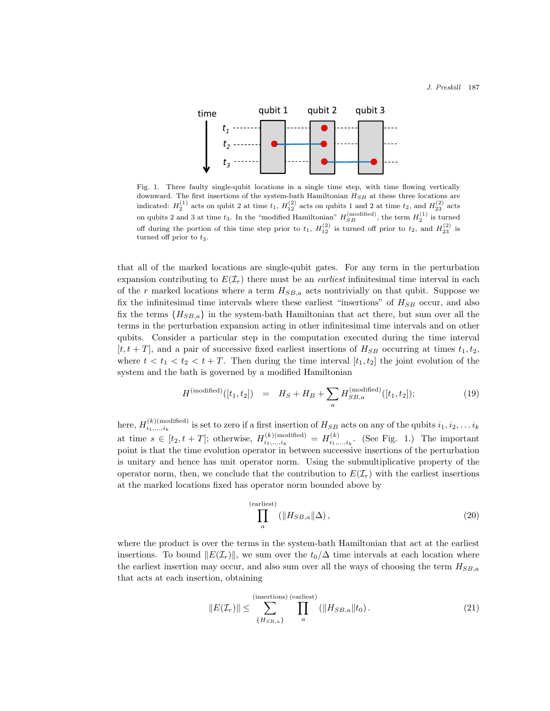

Fig. 1. Three faulty single-qubit locations in a single time step, with time flowing vertically downward. The first insertions of the system-bath Hamiltonian  $H_{SB}$  at these three locations are indicated:  $H_2^{(1)}$  acts on qubit 2 at time  $t_1$ ,  $H_{12}^{(2)}$  acts on qubits 1 and 2 at time  $t_2$ , and  $H_{23}^{(2)}$  acts on qubits 2 and 3 at time  $t_3$ . In the "modified Hamiltonian"  $H_{SB}^{(modified)}$ , the term  $H_2^{(1)}$  is turned off during the portion of this time step prior to  $t_1$ ,  $H_{12}^{(2)}$  is turned off prior to  $t_2$ , and  $H_{23}^{(2)}$  is turned off prior to  $t_3$ .

that all of the marked locations are single-qubit gates. For any term in the perturbation expansion contributing to  $E(\mathcal{I}_r)$  there must be an *earliest* infinitesimal time interval in each of the r marked locations where a term  $H_{SB,a}$  acts nontrivially on that qubit. Suppose we fix the infinitesimal time intervals where these earliest "insertions" of  $H_{SB}$  occur, and also fix the terms  ${H_{SB,a}}$  in the system-bath Hamiltonian that act there, but sum over all the terms in the perturbation expansion acting in other infinitesimal time intervals and on other qubits. Consider a particular step in the computation executed during the time interval  $[t, t + T]$ , and a pair of successive fixed earliest insertions of  $H_{SB}$  occurring at times  $t_1, t_2$ , where  $t < t_1 < t_2 < t + T$ . Then during the time interval  $[t_1, t_2]$  the joint evolution of the system and the bath is governed by a modified Hamiltonian

$$
H^{(\text{modified})}([t_1, t_2]) = H_S + H_B + \sum_{a} H_{SB, a}^{(\text{modified})}([t_1, t_2]); \tag{19}
$$

here,  $H_{i_1,...,i_k}^{(k)(\text{modified})}$  is set to zero if a first insertion of  $H_{SB}$  acts on any of the qubits  $i_1, i_2,...,i_k$ at time  $s \in [t_2, t+T]$ ; otherwise,  $H_{i_1,\ldots,i_k}^{(k) \text{(modified)}} = H_{i_1,\ldots,i_k}^{(k)}$ . (See Fig. 1.) The important point is that the time evolution operator in between successive insertions of the perturbation is unitary and hence has unit operator norm. Using the submultiplicative property of the operator norm, then, we conclude that the contribution to  $E(\mathcal{I}_r)$  with the earliest insertions at the marked locations fixed has operator norm bounded above by

$$
\prod_{a}^{(\text{earliest})} (\|H_{SB,a}\|\Delta),\tag{20}
$$

where the product is over the terms in the system-bath Hamiltonian that act at the earliest insertions. To bound  $||E(\mathcal{I}_r)||$ , we sum over the  $t_0/\Delta$  time intervals at each location where the earliest insertion may occur, and also sum over all the ways of choosing the term  $H_{SB,a}$ that acts at each insertion, obtaining

$$
||E(\mathcal{I}_r)|| \le \sum_{\{H_{SB,a}\}}^{\text{(insertions) (earliest)}} \prod_a (||H_{SB,a}||t_0). \tag{21}
$$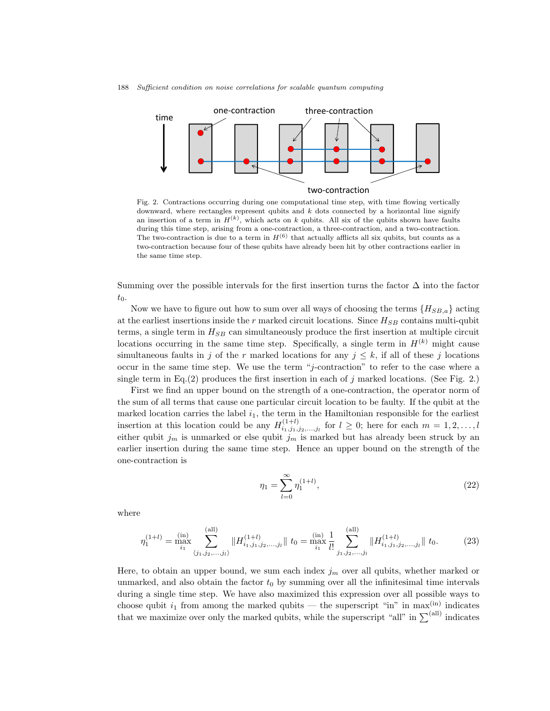188 Sufficient condition on noise correlations for scalable quantum computing



Fig. 2. Contractions occurring during one computational time step, with time flowing vertically downward, where rectangles represent qubits and  $k$  dots connected by a horizontal line signify an insertion of a term in  $H^{(k)}$ , which acts on k qubits. All six of the qubits shown have faults during this time step, arising from a one-contraction, a three-contraction, and a two-contraction. The two-contraction is due to a term in  $H^{(6)}$  that actually afflicts all six qubits, but counts as a two-contraction because four of these qubits have already been hit by other contractions earlier in the same time step.

Summing over the possible intervals for the first insertion turns the factor  $\Delta$  into the factor  $t_0$ .

Now we have to figure out how to sum over all ways of choosing the terms  ${H_{SB,a}}$  acting at the earliest insertions inside the  $r$  marked circuit locations. Since  $H_{SB}$  contains multi-qubit terms, a single term in  $H_{SB}$  can simultaneously produce the first insertion at multiple circuit locations occurring in the same time step. Specifically, a single term in  $H^{(k)}$  might cause simultaneous faults in j of the r marked locations for any  $j \leq k$ , if all of these j locations occur in the same time step. We use the term "j-contraction" to refer to the case where a single term in Eq.(2) produces the first insertion in each of j marked locations. (See Fig. 2.)

First we find an upper bound on the strength of a one-contraction, the operator norm of the sum of all terms that cause one particular circuit location to be faulty. If the qubit at the marked location carries the label  $i_1$ , the term in the Hamiltonian responsible for the earliest insertion at this location could be any  $H_{i_1,j_1,j_2,...,j_l}^{(1+l)}$  for  $l \geq 0$ ; here for each  $m = 1,2,...,l$ either qubit  $j_m$  is unmarked or else qubit  $\tilde{j}_m$  is marked but has already been struck by an earlier insertion during the same time step. Hence an upper bound on the strength of the one-contraction is

$$
\eta_1 = \sum_{l=0}^{\infty} \eta_1^{(1+l)},\tag{22}
$$

where

$$
\eta_1^{(1+l)} = \max_{i_1}^{(\text{in})} \sum_{\langle j_1, j_2, \dots, j_l \rangle}^{(\text{all})} \| H_{i_1, j_1, j_2, \dots, j_l}^{(1+l)} \| \cdot t_0 = \max_{i_1}^{(\text{in})} \frac{1}{l!} \sum_{j_1, j_2, \dots, j_l}^{(\text{all})} \| H_{i_1, j_1, j_2, \dots, j_l}^{(1+l)} \| \cdot t_0. \tag{23}
$$

Here, to obtain an upper bound, we sum each index  $j<sub>m</sub>$  over all qubits, whether marked or unmarked, and also obtain the factor  $t_0$  by summing over all the infinitesimal time intervals during a single time step. We have also maximized this expression over all possible ways to choose qubit  $i_1$  from among the marked qubits — the superscript "in" in max<sup>(in)</sup> indicates that we maximize over only the marked qubits, while the superscript "all" in  $\sum^{(all)}$  indicates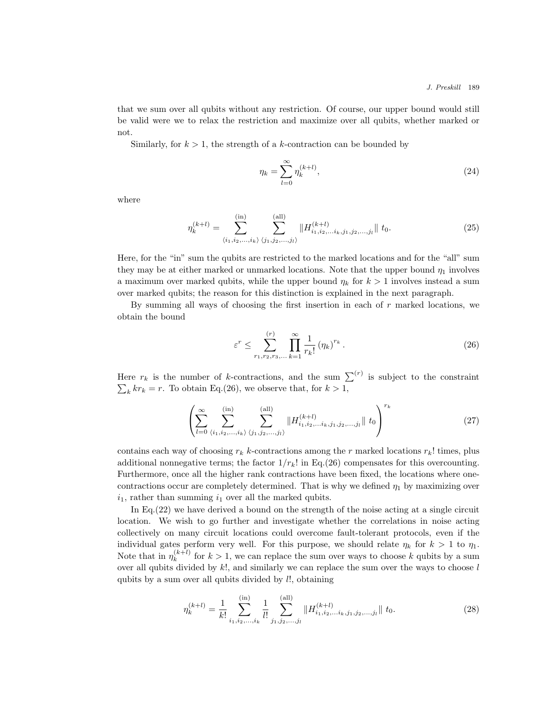that we sum over all qubits without any restriction. Of course, our upper bound would still be valid were we to relax the restriction and maximize over all qubits, whether marked or not.

Similarly, for  $k > 1$ , the strength of a k-contraction can be bounded by

$$
\eta_k = \sum_{l=0}^{\infty} \eta_k^{(k+l)},
$$
\n(24)

where

$$
\eta_k^{(k+l)} = \sum_{\langle i_1, i_2, \dots, i_k \rangle}^{(\text{in})} \sum_{\langle j_1, j_2, \dots, j_l \rangle}^{(\text{all})} \| H_{i_1, i_2, \dots, i_k, j_1, j_2, \dots, j_l}^{(k+l)} \| \mathbf{t}_0. \tag{25}
$$

Here, for the "in" sum the qubits are restricted to the marked locations and for the "all" sum they may be at either marked or unmarked locations. Note that the upper bound  $\eta_1$  involves a maximum over marked qubits, while the upper bound  $\eta_k$  for  $k > 1$  involves instead a sum over marked qubits; the reason for this distinction is explained in the next paragraph.

By summing all ways of choosing the first insertion in each of  $r$  marked locations, we obtain the bound

$$
\varepsilon^{r} \leq \sum_{r_{1}, r_{2}, r_{3}, \dots}^{(r)} \prod_{k=1}^{\infty} \frac{1}{r_{k}!} (\eta_{k})^{r_{k}}.
$$
 (26)

Here  $r_k$  is the number of k-contractions, and the sum  $\sum^{(r)}$  is subject to the constraint  $\sum_{k} kr_{k} = r.$  To obtain Eq.(26), we observe that, for  $k > 1$ ,

$$
\left(\sum_{l=0}^{\infty} \sum_{\langle i_1,i_2,...,i_k\rangle}^{(\text{in})} \sum_{\langle j_1,j_2,...,j_l\rangle}^{(\text{all})} \|H_{i_1,i_2,...i_k,j_1,j_2,...,j_l}^{(k+l)}\| \, t_0\right)^{r_k} \tag{27}
$$

contains each way of choosing  $r_k$  k-contractions among the r marked locations  $r_k$ ! times, plus additional nonnegative terms; the factor  $1/r_k!$  in Eq.(26) compensates for this overcounting. Furthermore, once all the higher rank contractions have been fixed, the locations where onecontractions occur are completely determined. That is why we defined  $\eta_1$  by maximizing over  $i_1$ , rather than summing  $i_1$  over all the marked qubits.

In Eq.(22) we have derived a bound on the strength of the noise acting at a single circuit location. We wish to go further and investigate whether the correlations in noise acting collectively on many circuit locations could overcome fault-tolerant protocols, even if the individual gates perform very well. For this purpose, we should relate  $\eta_k$  for  $k > 1$  to  $\eta_1$ . Note that in  $\eta_k^{(k+l)}$  $\binom{k+1}{k}$  for  $k > 1$ , we can replace the sum over ways to choose k qubits by a sum over all qubits divided by  $k!$ , and similarly we can replace the sum over the ways to choose  $l$ qubits by a sum over all qubits divided by l!, obtaining

$$
\eta_k^{(k+l)} = \frac{1}{k!} \sum_{i_1, i_2, \dots, i_k}^{(\text{in})} \frac{1}{l!} \sum_{j_1, j_2, \dots, j_l}^{(\text{all})} \| H_{i_1, i_2, \dots, i_k, j_1, j_2, \dots, j_l}^{(k+l)} \| \mathbf{t}_0. \tag{28}
$$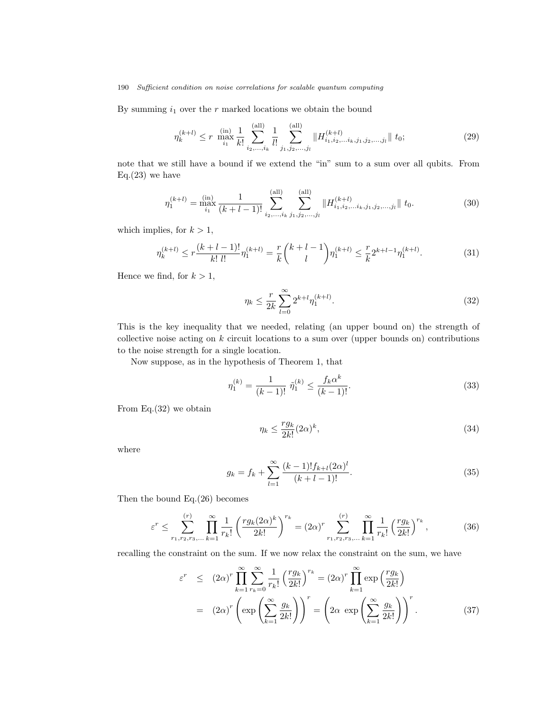By summing  $i_1$  over the r marked locations we obtain the bound

$$
\eta_k^{(k+l)} \le r \, \max_{i_1}^{\text{(in)}} \frac{1}{k!} \sum_{i_2,\dots,i_k}^{\text{(all)}} \frac{1}{l!} \sum_{j_1,j_2,\dots,j_l}^{\text{(all)}} \| H_{i_1,i_2,\dots,i_k,j_1,j_2,\dots,j_l}^{(k+l)} \| \, t_0; \tag{29}
$$

note that we still have a bound if we extend the "in" sum to a sum over all qubits. From  $Eq.(23)$  we have

$$
\eta_1^{(k+l)} = \max_{i_1}^{(\text{in})} \frac{1}{(k+l-1)!} \sum_{i_2,\dots,i_k}^{(\text{all})} \sum_{j_1,j_2,\dots,j_l}^{(\text{all})} \| H_{i_1,i_2,\dots,i_k,j_1,j_2,\dots,j_l}^{(k+l)} \| \mathbf{t}_0. \tag{30}
$$

which implies, for  $k > 1$ ,

$$
\eta_k^{(k+l)} \le r \frac{(k+l-1)!}{k! \ l!} \eta_1^{(k+l)} = \frac{r}{k} {k+l-1 \choose l} \eta_1^{(k+l)} \le \frac{r}{k} 2^{k+l-1} \eta_1^{(k+l)}.\tag{31}
$$

Hence we find, for  $k > 1$ ,

$$
\eta_k \le \frac{r}{2k} \sum_{l=0}^{\infty} 2^{k+l} \eta_1^{(k+l)}.
$$
\n(32)

This is the key inequality that we needed, relating (an upper bound on) the strength of collective noise acting on  $k$  circuit locations to a sum over (upper bounds on) contributions to the noise strength for a single location.

Now suppose, as in the hypothesis of Theorem 1, that

$$
\eta_1^{(k)} = \frac{1}{(k-1)!} \ \tilde{\eta}_1^{(k)} \le \frac{f_k \alpha^k}{(k-1)!}.
$$
\n(33)

From Eq.(32) we obtain

$$
\eta_k \le \frac{rg_k}{2k!} (2\alpha)^k,\tag{34}
$$

where

$$
g_k = f_k + \sum_{l=1}^{\infty} \frac{(k-1)! f_{k+l} (2\alpha)^l}{(k+l-1)!}.
$$
\n(35)

Then the bound Eq.(26) becomes

$$
\varepsilon^{r} \leq \sum_{r_{1}, r_{2}, r_{3}, \dots}^{(r)} \prod_{k=1}^{\infty} \frac{1}{r_{k}!} \left( \frac{r g_{k}(2\alpha)^{k}}{2k!} \right)^{r_{k}} = (2\alpha)^{r} \sum_{r_{1}, r_{2}, r_{3}, \dots}^{(r)} \prod_{k=1}^{\infty} \frac{1}{r_{k}!} \left( \frac{r g_{k}}{2k!} \right)^{r_{k}},
$$
(36)

recalling the constraint on the sum. If we now relax the constraint on the sum, we have

$$
\varepsilon^r \leq (2\alpha)^r \prod_{k=1}^{\infty} \sum_{r_k=0}^{\infty} \frac{1}{r_k!} \left(\frac{rg_k}{2k!}\right)^{r_k} = (2\alpha)^r \prod_{k=1}^{\infty} \exp\left(\frac{rg_k}{2k!}\right)
$$

$$
= (2\alpha)^r \left(\exp\left(\sum_{k=1}^{\infty} \frac{g_k}{2k!}\right)\right)^r = \left(2\alpha \exp\left(\sum_{k=1}^{\infty} \frac{g_k}{2k!}\right)\right)^r. \tag{37}
$$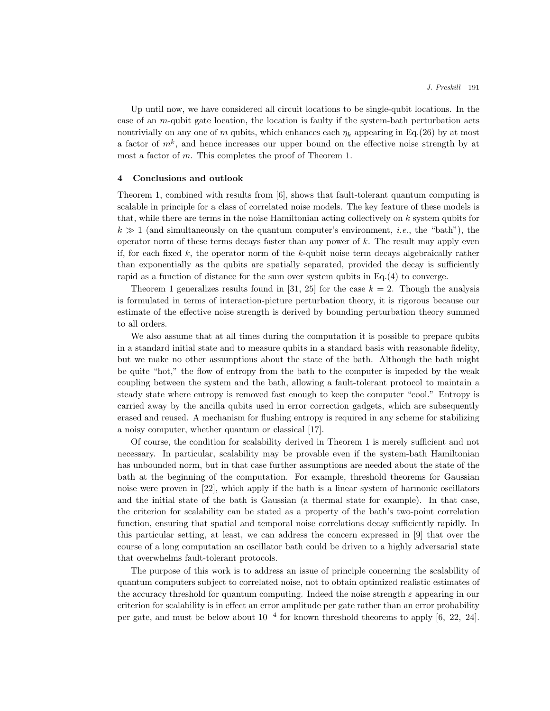Up until now, we have considered all circuit locations to be single-qubit locations. In the case of an  $m$ -qubit gate location, the location is faulty if the system-bath perturbation acts nontrivially on any one of m qubits, which enhances each  $\eta_k$  appearing in Eq.(26) by at most a factor of  $m<sup>k</sup>$ , and hence increases our upper bound on the effective noise strength by at most a factor of m. This completes the proof of Theorem 1.

# 4 Conclusions and outlook

Theorem 1, combined with results from [6], shows that fault-tolerant quantum computing is scalable in principle for a class of correlated noise models. The key feature of these models is that, while there are terms in the noise Hamiltonian acting collectively on k system qubits for  $k \gg 1$  (and simultaneously on the quantum computer's environment, *i.e.*, the "bath"), the operator norm of these terms decays faster than any power of  $k$ . The result may apply even if, for each fixed k, the operator norm of the k-qubit noise term decays algebraically rather than exponentially as the qubits are spatially separated, provided the decay is sufficiently rapid as a function of distance for the sum over system qubits in Eq.(4) to converge.

Theorem 1 generalizes results found in [31, 25] for the case  $k = 2$ . Though the analysis is formulated in terms of interaction-picture perturbation theory, it is rigorous because our estimate of the effective noise strength is derived by bounding perturbation theory summed to all orders.

We also assume that at all times during the computation it is possible to prepare qubits in a standard initial state and to measure qubits in a standard basis with reasonable fidelity, but we make no other assumptions about the state of the bath. Although the bath might be quite "hot," the flow of entropy from the bath to the computer is impeded by the weak coupling between the system and the bath, allowing a fault-tolerant protocol to maintain a steady state where entropy is removed fast enough to keep the computer "cool." Entropy is carried away by the ancilla qubits used in error correction gadgets, which are subsequently erased and reused. A mechanism for flushing entropy is required in any scheme for stabilizing a noisy computer, whether quantum or classical [17].

Of course, the condition for scalability derived in Theorem 1 is merely sufficient and not necessary. In particular, scalability may be provable even if the system-bath Hamiltonian has unbounded norm, but in that case further assumptions are needed about the state of the bath at the beginning of the computation. For example, threshold theorems for Gaussian noise were proven in [22], which apply if the bath is a linear system of harmonic oscillators and the initial state of the bath is Gaussian (a thermal state for example). In that case, the criterion for scalability can be stated as a property of the bath's two-point correlation function, ensuring that spatial and temporal noise correlations decay sufficiently rapidly. In this particular setting, at least, we can address the concern expressed in [9] that over the course of a long computation an oscillator bath could be driven to a highly adversarial state that overwhelms fault-tolerant protocols.

The purpose of this work is to address an issue of principle concerning the scalability of quantum computers subject to correlated noise, not to obtain optimized realistic estimates of the accuracy threshold for quantum computing. Indeed the noise strength  $\varepsilon$  appearing in our criterion for scalability is in effect an error amplitude per gate rather than an error probability per gate, and must be below about  $10^{-4}$  for known threshold theorems to apply [6, 22, 24].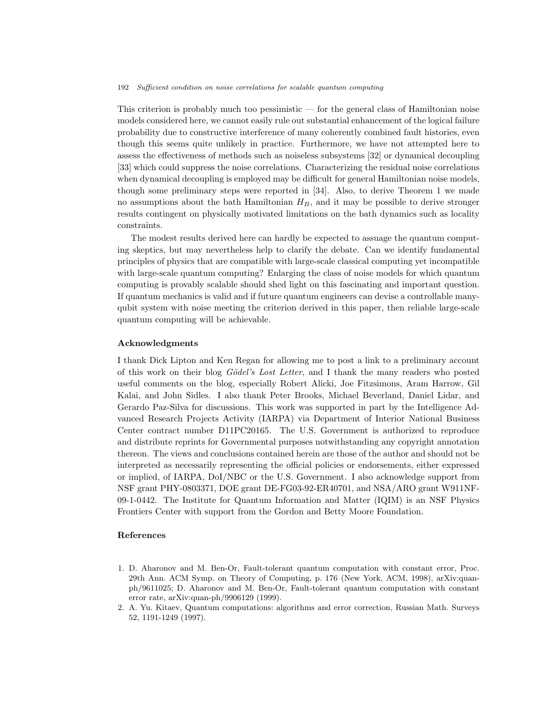This criterion is probably much too pessimistic — for the general class of Hamiltonian noise models considered here, we cannot easily rule out substantial enhancement of the logical failure probability due to constructive interference of many coherently combined fault histories, even though this seems quite unlikely in practice. Furthermore, we have not attempted here to assess the effectiveness of methods such as noiseless subsystems [32] or dynamical decoupling [33] which could suppress the noise correlations. Characterizing the residual noise correlations when dynamical decoupling is employed may be difficult for general Hamiltonian noise models, though some preliminary steps were reported in [34]. Also, to derive Theorem 1 we made no assumptions about the bath Hamiltonian  $H_B$ , and it may be possible to derive stronger results contingent on physically motivated limitations on the bath dynamics such as locality constraints.

The modest results derived here can hardly be expected to assuage the quantum computing skeptics, but may nevertheless help to clarify the debate. Can we identify fundamental principles of physics that are compatible with large-scale classical computing yet incompatible with large-scale quantum computing? Enlarging the class of noise models for which quantum computing is provably scalable should shed light on this fascinating and important question. If quantum mechanics is valid and if future quantum engineers can devise a controllable manyqubit system with noise meeting the criterion derived in this paper, then reliable large-scale quantum computing will be achievable.

### Acknowledgments

I thank Dick Lipton and Ken Regan for allowing me to post a link to a preliminary account of this work on their blog *Gödel's Lost Letter*, and I thank the many readers who posted useful comments on the blog, especially Robert Alicki, Joe Fitzsimons, Aram Harrow, Gil Kalai, and John Sidles. I also thank Peter Brooks, Michael Beverland, Daniel Lidar, and Gerardo Paz-Silva for discussions. This work was supported in part by the Intelligence Advanced Research Projects Activity (IARPA) via Department of Interior National Business Center contract number D11PC20165. The U.S. Government is authorized to reproduce and distribute reprints for Governmental purposes notwithstanding any copyright annotation thereon. The views and conclusions contained herein are those of the author and should not be interpreted as necessarily representing the official policies or endorsements, either expressed or implied, of IARPA, DoI/NBC or the U.S. Government. I also acknowledge support from NSF grant PHY-0803371, DOE grant DE-FG03-92-ER40701, and NSA/ARO grant W911NF-09-1-0442. The Institute for Quantum Information and Matter (IQIM) is an NSF Physics Frontiers Center with support from the Gordon and Betty Moore Foundation.

### References

- 1. D. Aharonov and M. Ben-Or, Fault-tolerant quantum computation with constant error, Proc. 29th Ann. ACM Symp. on Theory of Computing, p. 176 (New York, ACM, 1998), arXiv:quanph/9611025; D. Aharonov and M. Ben-Or, Fault-tolerant quantum computation with constant error rate, arXiv:quan-ph/9906129 (1999).
- 2. A. Yu. Kitaev, Quantum computations: algorithms and error correction, Russian Math. Surveys 52, 1191-1249 (1997).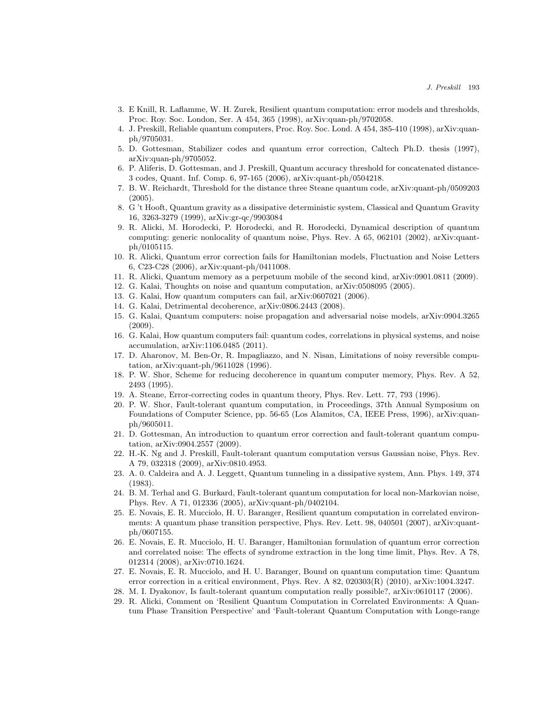- 3. E Knill, R. Laflamme, W. H. Zurek, Resilient quantum computation: error models and thresholds, Proc. Roy. Soc. London, Ser. A 454, 365 (1998), arXiv:quan-ph/9702058.
- 4. J. Preskill, Reliable quantum computers, Proc. Roy. Soc. Lond. A 454, 385-410 (1998), arXiv:quanph/9705031.
- 5. D. Gottesman, Stabilizer codes and quantum error correction, Caltech Ph.D. thesis (1997), arXiv:quan-ph/9705052.
- 6. P. Aliferis, D. Gottesman, and J. Preskill, Quantum accuracy threshold for concatenated distance-3 codes, Quant. Inf. Comp. 6, 97-165 (2006), arXiv:quant-ph/0504218.
- 7. B. W. Reichardt, Threshold for the distance three Steane quantum code, arXiv:quant-ph/0509203 (2005).
- 8. G 't Hooft, Quantum gravity as a dissipative deterministic system, Classical and Quantum Gravity 16, 3263-3279 (1999), arXiv:gr-qc/9903084
- 9. R. Alicki, M. Horodecki, P. Horodecki, and R. Horodecki, Dynamical description of quantum computing: generic nonlocality of quantum noise, Phys. Rev. A 65, 062101 (2002), arXiv:quantph/0105115.
- 10. R. Alicki, Quantum error correction fails for Hamiltonian models, Fluctuation and Noise Letters 6, C23-C28 (2006), arXiv:quant-ph/0411008.
- 11. R. Alicki, Quantum memory as a perpetuum mobile of the second kind, arXiv:0901.0811 (2009).
- 12. G. Kalai, Thoughts on noise and quantum computation, arXiv:0508095 (2005).
- 13. G. Kalai, How quantum computers can fail, arXiv:0607021 (2006).
- 14. G. Kalai, Detrimental decoherence, arXiv:0806.2443 (2008).
- 15. G. Kalai, Quantum computers: noise propagation and adversarial noise models, arXiv:0904.3265 (2009).
- 16. G. Kalai, How quantum computers fail: quantum codes, correlations in physical systems, and noise accumulation, arXiv:1106.0485 (2011).
- 17. D. Aharonov, M. Ben-Or, R. Impagliazzo, and N. Nisan, Limitations of noisy reversible computation, arXiv:quant-ph/9611028 (1996).
- 18. P. W. Shor, Scheme for reducing decoherence in quantum computer memory, Phys. Rev. A 52, 2493 (1995).
- 19. A. Steane, Error-correcting codes in quantum theory, Phys. Rev. Lett. 77, 793 (1996).
- 20. P. W. Shor, Fault-tolerant quantum computation, in Proceedings, 37th Annual Symposium on Foundations of Computer Science, pp. 56-65 (Los Alamitos, CA, IEEE Press, 1996), arXiv:quanph/9605011.
- 21. D. Gottesman, An introduction to quantum error correction and fault-tolerant quantum computation, arXiv:0904.2557 (2009).
- 22. H.-K. Ng and J. Preskill, Fault-tolerant quantum computation versus Gaussian noise, Phys. Rev. A 79, 032318 (2009), arXiv:0810.4953.
- 23. A. 0. Caldeira and A. J. Leggett, Quantum tunneling in a dissipative system, Ann. Phys. 149, 374 (1983).
- 24. B. M. Terhal and G. Burkard, Fault-tolerant quantum computation for local non-Markovian noise, Phys. Rev. A 71, 012336 (2005), arXiv:quant-ph/0402104.
- 25. E. Novais, E. R. Mucciolo, H. U. Baranger, Resilient quantum computation in correlated environments: A quantum phase transition perspective, Phys. Rev. Lett. 98, 040501 (2007), arXiv:quantph/0607155.
- 26. E. Novais, E. R. Mucciolo, H. U. Baranger, Hamiltonian formulation of quantum error correction and correlated noise: The effects of syndrome extraction in the long time limit, Phys. Rev. A 78, 012314 (2008), arXiv:0710.1624.
- 27. E. Novais, E. R. Mucciolo, and H. U. Baranger, Bound on quantum computation time: Quantum error correction in a critical environment, Phys. Rev. A 82, 020303(R) (2010), arXiv:1004.3247.
- 28. M. I. Dyakonov, Is fault-tolerant quantum computation really possible?, arXiv:0610117 (2006).
- 29. R. Alicki, Comment on 'Resilient Quantum Computation in Correlated Environments: A Quantum Phase Transition Perspective' and 'Fault-tolerant Quantum Computation with Longe-range